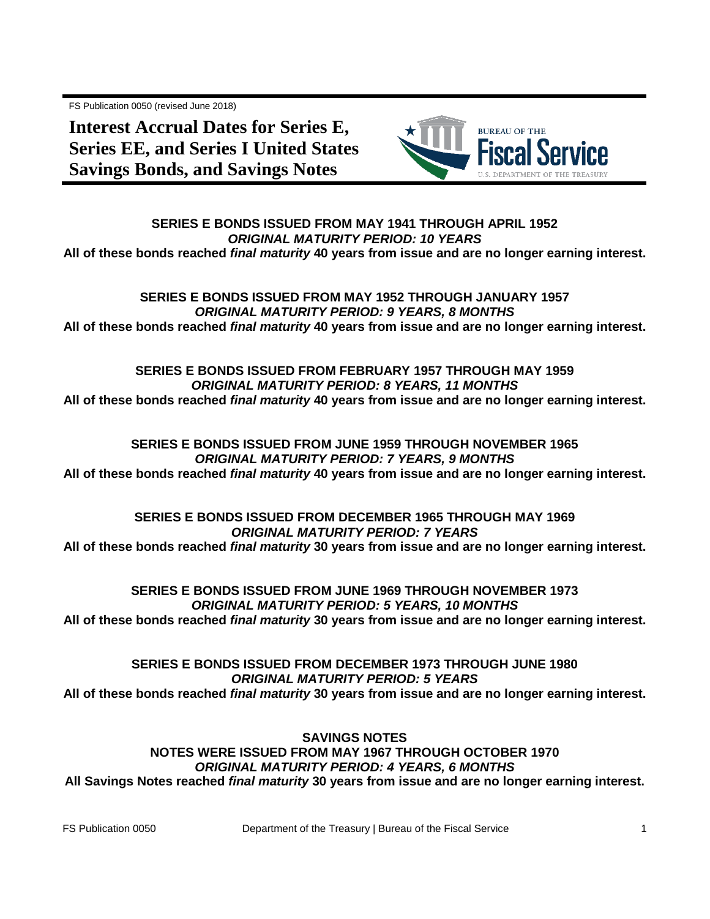FS Publication 0050 (revised June 2018)

**Interest Accrual Dates for Series E, Series EE, and Series I United States Savings Bonds, and Savings Notes**



**SERIES E BONDS ISSUED FROM MAY 1941 THROUGH APRIL 1952** *ORIGINAL MATURITY PERIOD: 10 YEARS* **All of these bonds reached** *final maturity* **40 years from issue and are no longer earning interest.**

## **SERIES E BONDS ISSUED FROM MAY 1952 THROUGH JANUARY 1957** *ORIGINAL MATURITY PERIOD: 9 YEARS, 8 MONTHS* **All of these bonds reached** *final maturity* **40 years from issue and are no longer earning interest.**

# **SERIES E BONDS ISSUED FROM FEBRUARY 1957 THROUGH MAY 1959** *ORIGINAL MATURITY PERIOD: 8 YEARS, 11 MONTHS* **All of these bonds reached** *final maturity* **40 years from issue and are no longer earning interest.**

## **SERIES E BONDS ISSUED FROM JUNE 1959 THROUGH NOVEMBER 1965** *ORIGINAL MATURITY PERIOD: 7 YEARS, 9 MONTHS* **All of these bonds reached** *final maturity* **40 years from issue and are no longer earning interest.**

# **SERIES E BONDS ISSUED FROM DECEMBER 1965 THROUGH MAY 1969** *ORIGINAL MATURITY PERIOD: 7 YEARS* **All of these bonds reached** *final maturity* **30 years from issue and are no longer earning interest.**

**SERIES E BONDS ISSUED FROM JUNE 1969 THROUGH NOVEMBER 1973** *ORIGINAL MATURITY PERIOD: 5 YEARS, 10 MONTHS* **All of these bonds reached** *final maturity* **30 years from issue and are no longer earning interest.**

**SERIES E BONDS ISSUED FROM DECEMBER 1973 THROUGH JUNE 1980** *ORIGINAL MATURITY PERIOD: 5 YEARS* **All of these bonds reached** *final maturity* **30 years from issue and are no longer earning interest.**

**SAVINGS NOTES NOTES WERE ISSUED FROM MAY 1967 THROUGH OCTOBER 1970** *ORIGINAL MATURITY PERIOD: 4 YEARS, 6 MONTHS* **All Savings Notes reached** *final maturity* **30 years from issue and are no longer earning interest.**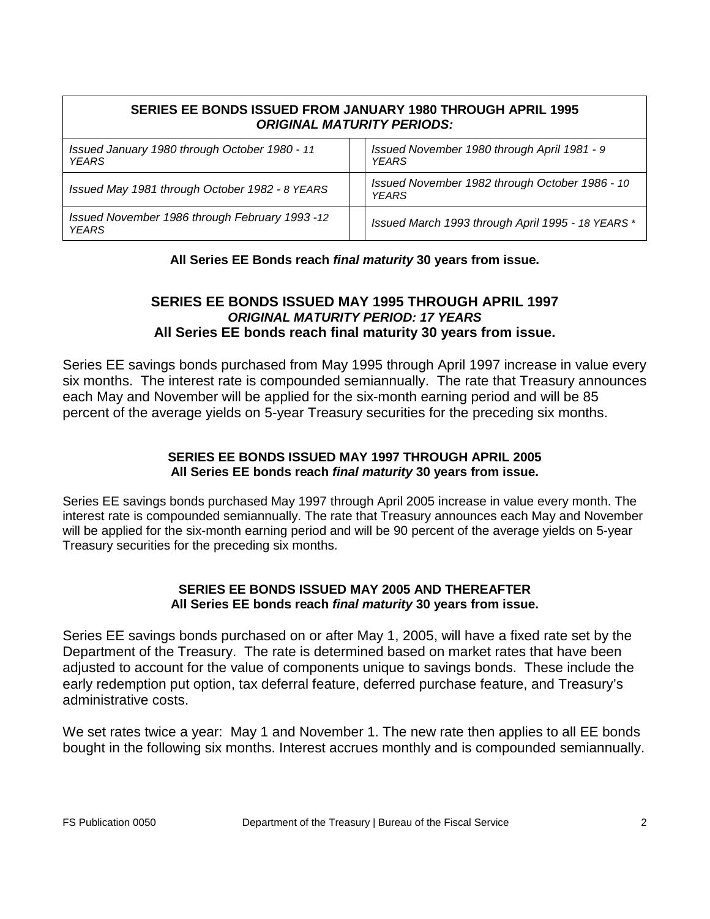| SERIES EE BONDS ISSUED FROM JANUARY 1980 THROUGH APRIL 1995<br><b>ORIGINAL MATURITY PERIODS:</b> |                                                                |
|--------------------------------------------------------------------------------------------------|----------------------------------------------------------------|
| Issued January 1980 through October 1980 - 11<br><b>YEARS</b>                                    | Issued November 1980 through April 1981 - 9<br><b>YEARS</b>    |
| Issued May 1981 through October 1982 - 8 YEARS                                                   | Issued November 1982 through October 1986 - 10<br><b>YFARS</b> |
| Issued November 1986 through February 1993 -12<br><b>YEARS</b>                                   | Issued March 1993 through April 1995 - 18 YEARS *              |

## **All Series EE Bonds reach** *final maturity* **30 years from issue.**

# **SERIES EE BONDS ISSUED MAY 1995 THROUGH APRIL 1997** *ORIGINAL MATURITY PERIOD: 17 YEARS* **All Series EE bonds reach final maturity 30 years from issue.**

Series EE savings bonds purchased from May 1995 through April 1997 increase in value every six months. The interest rate is compounded semiannually. The rate that Treasury announces each May and November will be applied for the six-month earning period and will be 85 percent of the average yields on 5-year Treasury securities for the preceding six months.

## **SERIES EE BONDS ISSUED MAY 1997 THROUGH APRIL 2005 All Series EE bonds reach** *final maturity* **30 years from issue.**

Series EE savings bonds purchased May 1997 through April 2005 increase in value every month. The interest rate is compounded semiannually. The rate that Treasury announces each May and November will be applied for the six-month earning period and will be 90 percent of the average yields on 5-year Treasury securities for the preceding six months.

## **SERIES EE BONDS ISSUED MAY 2005 AND THEREAFTER All Series EE bonds reach** *final maturity* **30 years from issue.**

Series EE savings bonds purchased on or after May 1, 2005, will have a fixed rate set by the Department of the Treasury. The rate is determined based on market rates that have been adjusted to account for the value of components unique to savings bonds. These include the early redemption put option, tax deferral feature, deferred purchase feature, and Treasury's administrative costs.

We set rates twice a year: May 1 and November 1. The new rate then applies to all EE bonds bought in the following six months. Interest accrues monthly and is compounded semiannually.